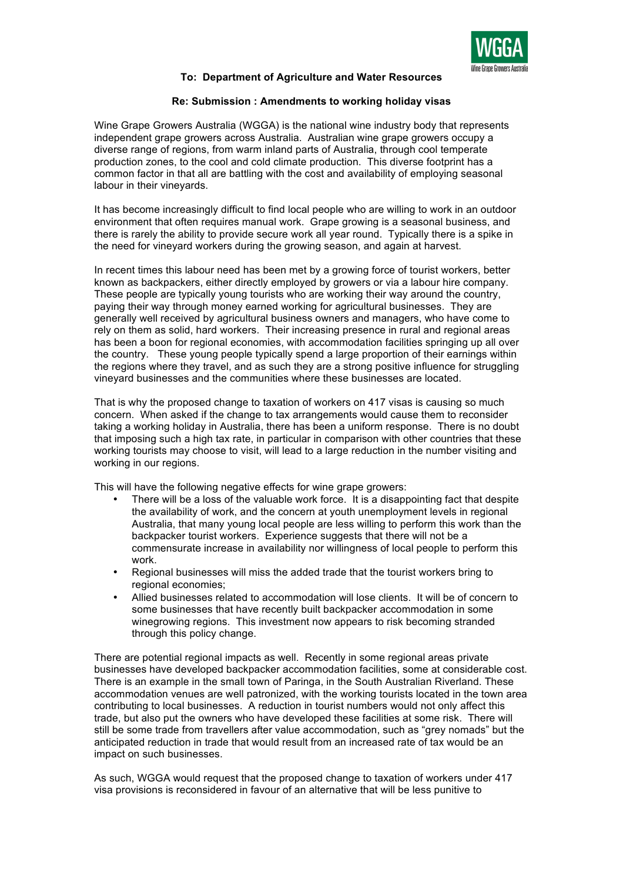

## **To: Department of Agriculture and Water Resources**

## **Re: Submission : Amendments to working holiday visas**

Wine Grape Growers Australia (WGGA) is the national wine industry body that represents independent grape growers across Australia. Australian wine grape growers occupy a diverse range of regions, from warm inland parts of Australia, through cool temperate production zones, to the cool and cold climate production. This diverse footprint has a common factor in that all are battling with the cost and availability of employing seasonal labour in their vineyards.

It has become increasingly difficult to find local people who are willing to work in an outdoor environment that often requires manual work. Grape growing is a seasonal business, and there is rarely the ability to provide secure work all year round. Typically there is a spike in the need for vineyard workers during the growing season, and again at harvest.

In recent times this labour need has been met by a growing force of tourist workers, better known as backpackers, either directly employed by growers or via a labour hire company. These people are typically young tourists who are working their way around the country, paying their way through money earned working for agricultural businesses. They are generally well received by agricultural business owners and managers, who have come to rely on them as solid, hard workers. Their increasing presence in rural and regional areas has been a boon for regional economies, with accommodation facilities springing up all over the country. These young people typically spend a large proportion of their earnings within the regions where they travel, and as such they are a strong positive influence for struggling vineyard businesses and the communities where these businesses are located.

That is why the proposed change to taxation of workers on 417 visas is causing so much concern. When asked if the change to tax arrangements would cause them to reconsider taking a working holiday in Australia, there has been a uniform response. There is no doubt that imposing such a high tax rate, in particular in comparison with other countries that these working tourists may choose to visit, will lead to a large reduction in the number visiting and working in our regions.

This will have the following negative effects for wine grape growers:

- There will be a loss of the valuable work force. It is a disappointing fact that despite the availability of work, and the concern at youth unemployment levels in regional Australia, that many young local people are less willing to perform this work than the backpacker tourist workers. Experience suggests that there will not be a commensurate increase in availability nor willingness of local people to perform this work.
- Regional businesses will miss the added trade that the tourist workers bring to regional economies;
- Allied businesses related to accommodation will lose clients. It will be of concern to some businesses that have recently built backpacker accommodation in some winegrowing regions. This investment now appears to risk becoming stranded through this policy change.

There are potential regional impacts as well. Recently in some regional areas private businesses have developed backpacker accommodation facilities, some at considerable cost. There is an example in the small town of Paringa, in the South Australian Riverland. These accommodation venues are well patronized, with the working tourists located in the town area contributing to local businesses. A reduction in tourist numbers would not only affect this trade, but also put the owners who have developed these facilities at some risk. There will still be some trade from travellers after value accommodation, such as "grey nomads" but the anticipated reduction in trade that would result from an increased rate of tax would be an impact on such businesses.

As such, WGGA would request that the proposed change to taxation of workers under 417 visa provisions is reconsidered in favour of an alternative that will be less punitive to